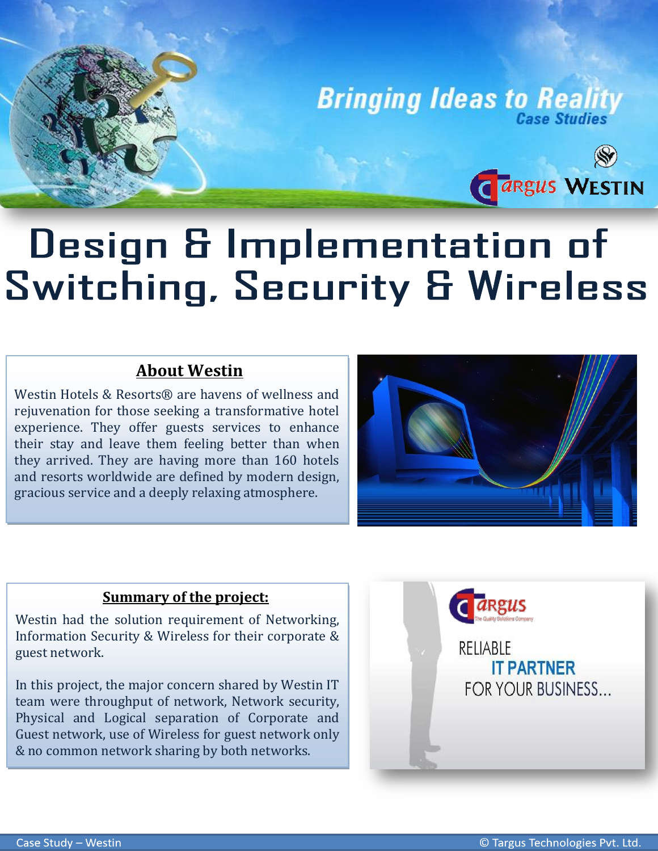

## **Design & Implementation of** Switching, Security & Wireless

## **About Westin**

Westin Hotels & Resorts® are havens of wellness and rejuvenation for those seeking a transformative hotel experience. They offer guests services to enhance their stay and leave them feeling better than when they arrived. They are having more than 160 hotels and resorts worldwide are defined by modern design, gracious service and a deeply relaxing atmosphere.



## **Summary of the project:**

Westin had the solution requirement of Networking, Information Security & Wireless for their corporate & guest network.

In this project, the major concern shared by Westin IT team were throughput of network, Network security, Physical and Logical separation of Corporate and Guest network, use of Wireless for guest network only & no common network sharing by both networks.